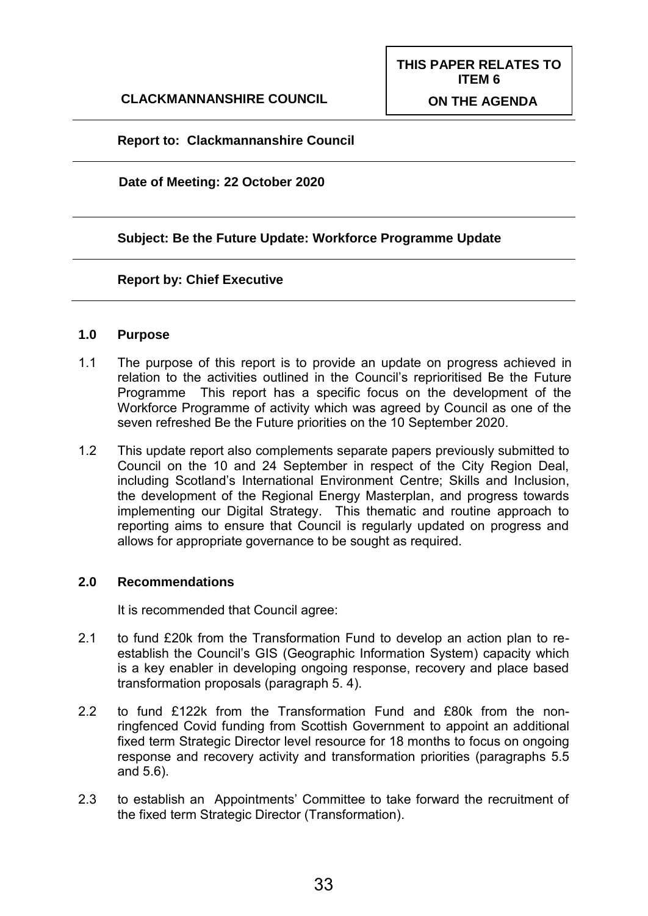#### **Report to: Clackmannanshire Council**

#### **Date of Meeting: 22 October 2020**

#### **Subject: Be the Future Update: Workforce Programme Update**

#### **Report by: Chief Executive**

#### **1.0 Purpose**

- 1.1 The purpose of this report is to provide an update on progress achieved in relation to the activities outlined in the Council's reprioritised Be the Future Programme This report has a specific focus on the development of the Workforce Programme of activity which was agreed by Council as one of the seven refreshed Be the Future priorities on the 10 September 2020.
- 1.2 This update report also complements separate papers previously submitted to Council on the 10 and 24 September in respect of the City Region Deal, including Scotland's International Environment Centre; Skills and Inclusion, the development of the Regional Energy Masterplan, and progress towards implementing our Digital Strategy. This thematic and routine approach to reporting aims to ensure that Council is regularly updated on progress and allows for appropriate governance to be sought as required.

#### **2.0 Recommendations**

It is recommended that Council agree:

- 2.1 to fund £20k from the Transformation Fund to develop an action plan to reestablish the Council's GIS (Geographic Information System) capacity which is a key enabler in developing ongoing response, recovery and place based transformation proposals (paragraph 5. 4).
- 2.2 to fund £122k from the Transformation Fund and £80k from the nonringfenced Covid funding from Scottish Government to appoint an additional fixed term Strategic Director level resource for 18 months to focus on ongoing response and recovery activity and transformation priorities (paragraphs 5.5 and 5.6).
- 2.3 to establish an Appointments' Committee to take forward the recruitment of the fixed term Strategic Director (Transformation).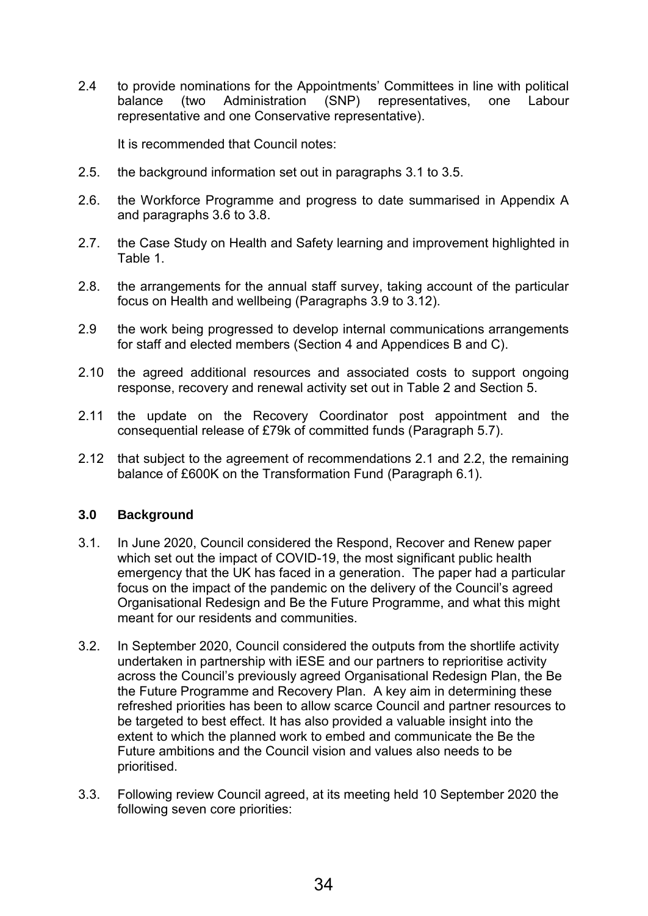2.4 to provide nominations for the Appointments' Committees in line with political<br>balance (two Administration (SNP) representatives, one Labour balance (two Administration (SNP) representatives, one representative and one Conservative representative).

It is recommended that Council notes:

- 2.5. the background information set out in paragraphs 3.1 to 3.5.
- 2.6. the Workforce Programme and progress to date summarised in Appendix A and paragraphs 3.6 to 3.8.
- 2.7. the Case Study on Health and Safety learning and improvement highlighted in Table 1.
- 2.8. the arrangements for the annual staff survey, taking account of the particular focus on Health and wellbeing (Paragraphs 3.9 to 3.12).
- 2.9 the work being progressed to develop internal communications arrangements for staff and elected members (Section 4 and Appendices B and C).
- 2.10 the agreed additional resources and associated costs to support ongoing response, recovery and renewal activity set out in Table 2 and Section 5.
- 2.11 the update on the Recovery Coordinator post appointment and the consequential release of £79k of committed funds (Paragraph 5.7).
- 2.12 that subject to the agreement of recommendations 2.1 and 2.2, the remaining balance of £600K on the Transformation Fund (Paragraph 6.1).

#### **3.0 Background**

- 3.1. In June 2020, Council considered the Respond, Recover and Renew paper which set out the impact of COVID-19, the most significant public health emergency that the UK has faced in a generation. The paper had a particular focus on the impact of the pandemic on the delivery of the Council's agreed Organisational Redesign and Be the Future Programme, and what this might meant for our residents and communities.
- 3.2. In September 2020, Council considered the outputs from the shortlife activity undertaken in partnership with iESE and our partners to reprioritise activity across the Council's previously agreed Organisational Redesign Plan, the Be the Future Programme and Recovery Plan. A key aim in determining these refreshed priorities has been to allow scarce Council and partner resources to be targeted to best effect. It has also provided a valuable insight into the extent to which the planned work to embed and communicate the Be the Future ambitions and the Council vision and values also needs to be prioritised.
- 3.3. Following review Council agreed, at its meeting held 10 September 2020 the following seven core priorities: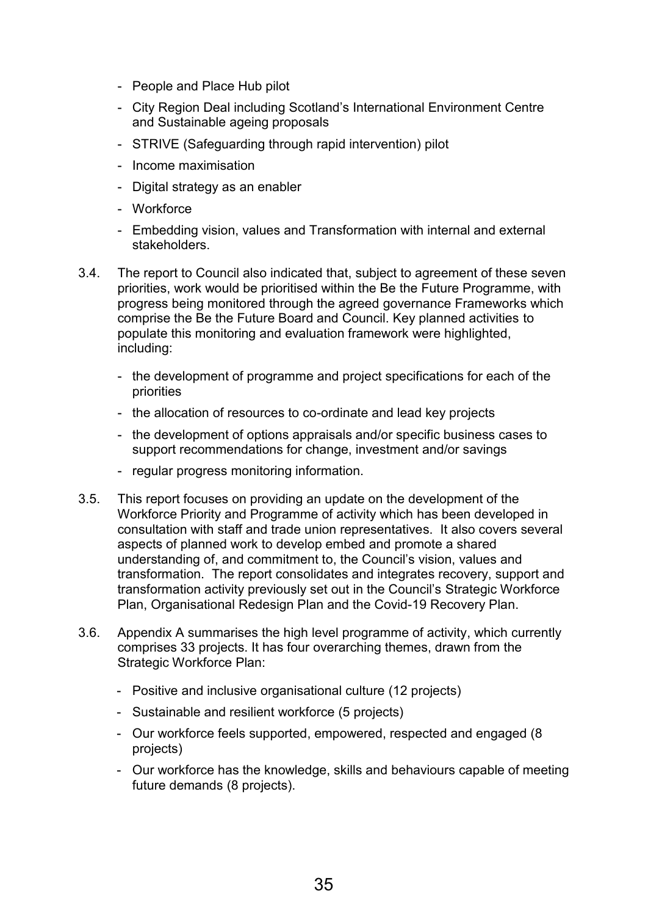- People and Place Hub pilot
- City Region Deal including Scotland's International Environment Centre and Sustainable ageing proposals
- STRIVE (Safeguarding through rapid intervention) pilot
- Income maximisation
- Digital strategy as an enabler
- Workforce
- Embedding vision, values and Transformation with internal and external stakeholders.
- 3.4. The report to Council also indicated that, subject to agreement of these seven priorities, work would be prioritised within the Be the Future Programme, with progress being monitored through the agreed governance Frameworks which comprise the Be the Future Board and Council. Key planned activities to populate this monitoring and evaluation framework were highlighted, including:
	- the development of programme and project specifications for each of the priorities
	- the allocation of resources to co-ordinate and lead key projects
	- the development of options appraisals and/or specific business cases to support recommendations for change, investment and/or savings
	- regular progress monitoring information.
- 3.5. This report focuses on providing an update on the development of the Workforce Priority and Programme of activity which has been developed in consultation with staff and trade union representatives. It also covers several aspects of planned work to develop embed and promote a shared understanding of, and commitment to, the Council's vision, values and transformation. The report consolidates and integrates recovery, support and transformation activity previously set out in the Council's Strategic Workforce Plan, Organisational Redesign Plan and the Covid-19 Recovery Plan.
- 3.6. Appendix A summarises the high level programme of activity, which currently comprises 33 projects. It has four overarching themes, drawn from the Strategic Workforce Plan:
	- Positive and inclusive organisational culture (12 projects)
	- Sustainable and resilient workforce (5 projects)
	- Our workforce feels supported, empowered, respected and engaged (8 projects)
	- Our workforce has the knowledge, skills and behaviours capable of meeting future demands (8 projects).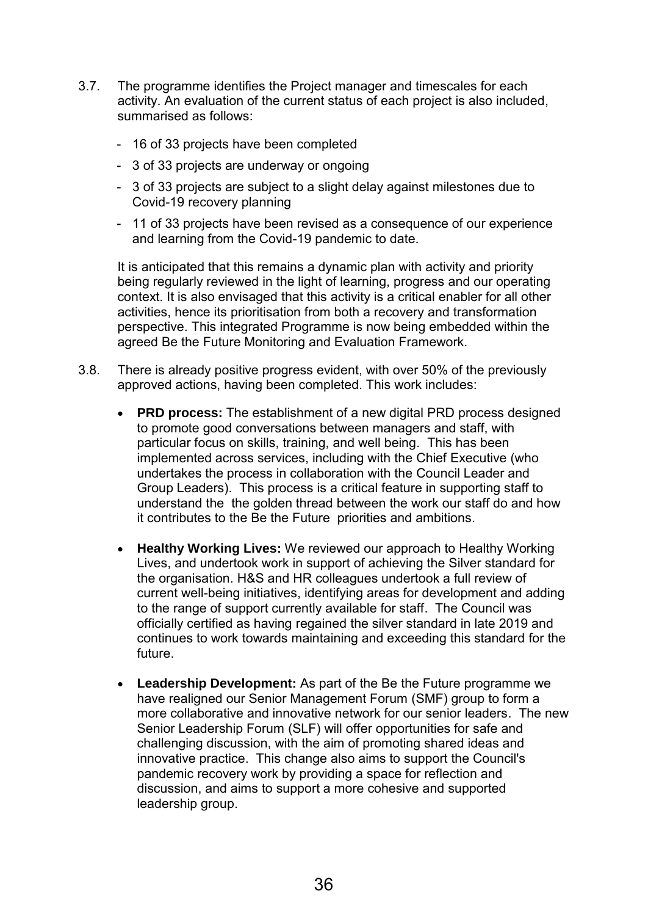- 3.7. The programme identifies the Project manager and timescales for each activity. An evaluation of the current status of each project is also included, summarised as follows:
	- 16 of 33 projects have been completed
	- 3 of 33 projects are underway or ongoing
	- 3 of 33 projects are subject to a slight delay against milestones due to Covid-19 recovery planning
	- 11 of 33 projects have been revised as a consequence of our experience and learning from the Covid-19 pandemic to date.

It is anticipated that this remains a dynamic plan with activity and priority being regularly reviewed in the light of learning, progress and our operating context. It is also envisaged that this activity is a critical enabler for all other activities, hence its prioritisation from both a recovery and transformation perspective. This integrated Programme is now being embedded within the agreed Be the Future Monitoring and Evaluation Framework.

- 3.8. There is already positive progress evident, with over 50% of the previously approved actions, having been completed. This work includes:
	- **PRD process:** The establishment of a new digital PRD process designed to promote good conversations between managers and staff, with particular focus on skills, training, and well being. This has been implemented across services, including with the Chief Executive (who undertakes the process in collaboration with the Council Leader and Group Leaders). This process is a critical feature in supporting staff to understand the the golden thread between the work our staff do and how it contributes to the Be the Future priorities and ambitions.
	- **Healthy Working Lives:** We reviewed our approach to Healthy Working Lives, and undertook work in support of achieving the Silver standard for the organisation. H&S and HR colleagues undertook a full review of current well-being initiatives, identifying areas for development and adding to the range of support currently available for staff. The Council was officially certified as having regained the silver standard in late 2019 and continues to work towards maintaining and exceeding this standard for the future.
	- **Leadership Development:** As part of the Be the Future programme we have realigned our Senior Management Forum (SMF) group to form a more collaborative and innovative network for our senior leaders. The new Senior Leadership Forum (SLF) will offer opportunities for safe and challenging discussion, with the aim of promoting shared ideas and innovative practice. This change also aims to support the Council's pandemic recovery work by providing a space for reflection and discussion, and aims to support a more cohesive and supported leadership group.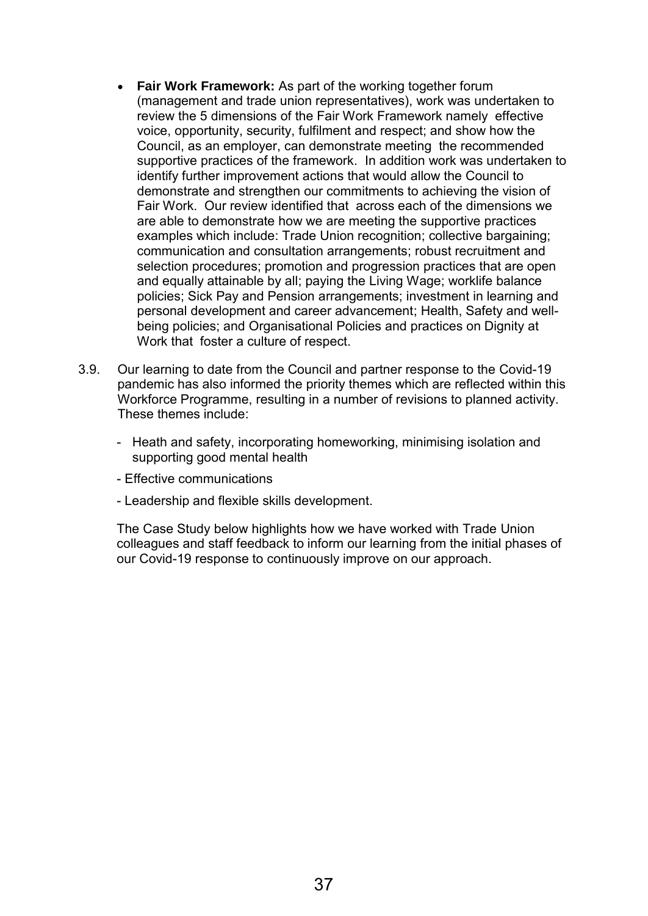- **Fair Work Framework:** As part of the working together forum (management and trade union representatives), work was undertaken to review the 5 dimensions of the Fair Work Framework namely effective voice, opportunity, security, fulfilment and respect; and show how the Council, as an employer, can demonstrate meeting the recommended supportive practices of the framework. In addition work was undertaken to identify further improvement actions that would allow the Council to demonstrate and strengthen our commitments to achieving the vision of Fair Work. Our review identified that across each of the dimensions we are able to demonstrate how we are meeting the supportive practices examples which include: Trade Union recognition; collective bargaining; communication and consultation arrangements; robust recruitment and selection procedures; promotion and progression practices that are open and equally attainable by all; paying the Living Wage; worklife balance policies; Sick Pay and Pension arrangements; investment in learning and personal development and career advancement; Health, Safety and wellbeing policies; and Organisational Policies and practices on Dignity at Work that foster a culture of respect.
- 3.9. Our learning to date from the Council and partner response to the Covid-19 pandemic has also informed the priority themes which are reflected within this Workforce Programme, resulting in a number of revisions to planned activity. These themes include:
	- Heath and safety, incorporating homeworking, minimising isolation and supporting good mental health
	- Effective communications
	- Leadership and flexible skills development.

The Case Study below highlights how we have worked with Trade Union colleagues and staff feedback to inform our learning from the initial phases of our Covid-19 response to continuously improve on our approach.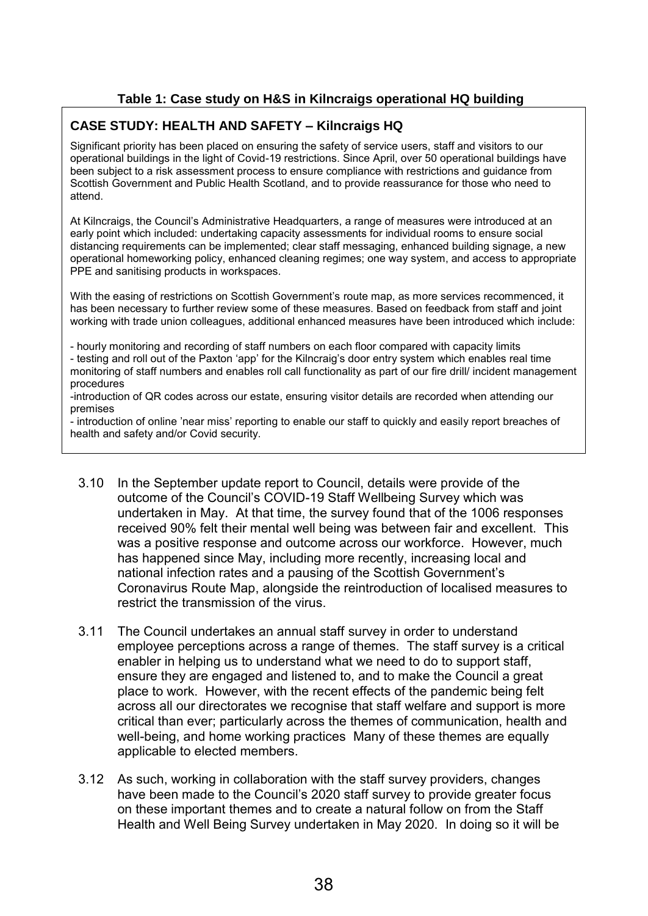### **Table 1: Case study on H&S in Kilncraigs operational HQ building**

#### **CASE STUDY: HEALTH AND SAFETY – Kilncraigs HQ**

Significant priority has been placed on ensuring the safety of service users, staff and visitors to our operational buildings in the light of Covid-19 restrictions. Since April, over 50 operational buildings have been subject to a risk assessment process to ensure compliance with restrictions and guidance from Scottish Government and Public Health Scotland, and to provide reassurance for those who need to attend.

At Kilncraigs, the Council's Administrative Headquarters, a range of measures were introduced at an early point which included: undertaking capacity assessments for individual rooms to ensure social distancing requirements can be implemented; clear staff messaging, enhanced building signage, a new operational homeworking policy, enhanced cleaning regimes; one way system, and access to appropriate PPE and sanitising products in workspaces.

With the easing of restrictions on Scottish Government's route map, as more services recommenced, it has been necessary to further review some of these measures. Based on feedback from staff and joint working with trade union colleagues, additional enhanced measures have been introduced which include:

- hourly monitoring and recording of staff numbers on each floor compared with capacity limits

- testing and roll out of the Paxton 'app' for the Kilncraig's door entry system which enables real time monitoring of staff numbers and enables roll call functionality as part of our fire drill/ incident management procedures

-introduction of QR codes across our estate, ensuring visitor details are recorded when attending our premises

- introduction of online 'near miss' reporting to enable our staff to quickly and easily report breaches of health and safety and/or Covid security.

- 3.10 In the September update report to Council, details were provide of the outcome of the Council's COVID-19 Staff Wellbeing Survey which was undertaken in May. At that time, the survey found that of the 1006 responses received 90% felt their mental well being was between fair and excellent. This was a positive response and outcome across our workforce. However, much has happened since May, including more recently, increasing local and national infection rates and a pausing of the Scottish Government's Coronavirus Route Map, alongside the reintroduction of localised measures to restrict the transmission of the virus.
- 3.11 The Council undertakes an annual staff survey in order to understand employee perceptions across a range of themes. The staff survey is a critical enabler in helping us to understand what we need to do to support staff, ensure they are engaged and listened to, and to make the Council a great place to work. However, with the recent effects of the pandemic being felt across all our directorates we recognise that staff welfare and support is more critical than ever; particularly across the themes of communication, health and well-being, and home working practices Many of these themes are equally applicable to elected members.
- 3.12 As such, working in collaboration with the staff survey providers, changes have been made to the Council's 2020 staff survey to provide greater focus on these important themes and to create a natural follow on from the Staff Health and Well Being Survey undertaken in May 2020. In doing so it will be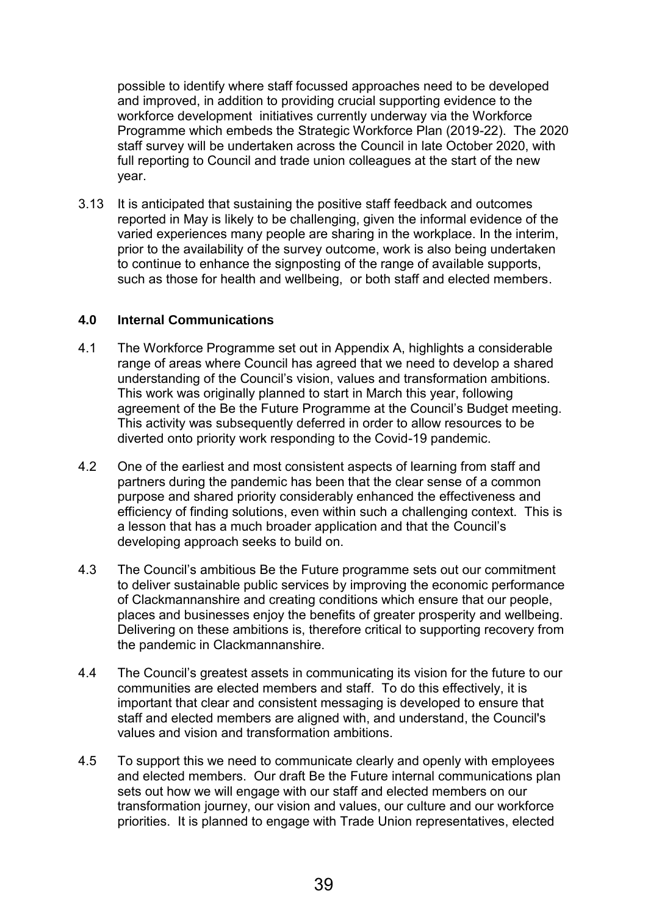possible to identify where staff focussed approaches need to be developed and improved, in addition to providing crucial supporting evidence to the workforce development initiatives currently underway via the Workforce Programme which embeds the Strategic Workforce Plan (2019-22). The 2020 staff survey will be undertaken across the Council in late October 2020, with full reporting to Council and trade union colleagues at the start of the new year.

3.13 It is anticipated that sustaining the positive staff feedback and outcomes reported in May is likely to be challenging, given the informal evidence of the varied experiences many people are sharing in the workplace. In the interim, prior to the availability of the survey outcome, work is also being undertaken to continue to enhance the signposting of the range of available supports, such as those for health and wellbeing, or both staff and elected members.

#### **4.0 Internal Communications**

- 4.1 The Workforce Programme set out in Appendix A, highlights a considerable range of areas where Council has agreed that we need to develop a shared understanding of the Council's vision, values and transformation ambitions. This work was originally planned to start in March this year, following agreement of the Be the Future Programme at the Council's Budget meeting. This activity was subsequently deferred in order to allow resources to be diverted onto priority work responding to the Covid-19 pandemic.
- 4.2 One of the earliest and most consistent aspects of learning from staff and partners during the pandemic has been that the clear sense of a common purpose and shared priority considerably enhanced the effectiveness and efficiency of finding solutions, even within such a challenging context. This is a lesson that has a much broader application and that the Council's developing approach seeks to build on.
- 4.3 The Council's ambitious Be the Future programme sets out our commitment to deliver sustainable public services by improving the economic performance of Clackmannanshire and creating conditions which ensure that our people, places and businesses enjoy the benefits of greater prosperity and wellbeing. Delivering on these ambitions is, therefore critical to supporting recovery from the pandemic in Clackmannanshire.
- 4.4 The Council's greatest assets in communicating its vision for the future to our communities are elected members and staff. To do this effectively, it is important that clear and consistent messaging is developed to ensure that staff and elected members are aligned with, and understand, the Council's values and vision and transformation ambitions.
- 4.5 To support this we need to communicate clearly and openly with employees and elected members. Our draft Be the Future internal communications plan sets out how we will engage with our staff and elected members on our transformation journey, our vision and values, our culture and our workforce priorities. It is planned to engage with Trade Union representatives, elected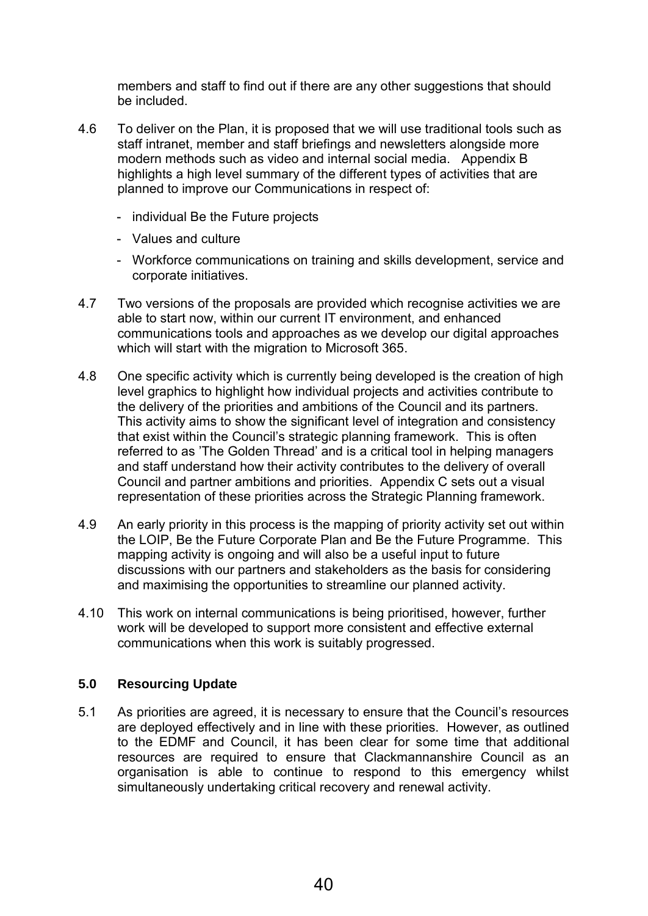members and staff to find out if there are any other suggestions that should be included.

- 4.6 To deliver on the Plan, it is proposed that we will use traditional tools such as staff intranet, member and staff briefings and newsletters alongside more modern methods such as video and internal social media. Appendix B highlights a high level summary of the different types of activities that are planned to improve our Communications in respect of:
	- individual Be the Future projects
	- Values and culture
	- Workforce communications on training and skills development, service and corporate initiatives.
- 4.7 Two versions of the proposals are provided which recognise activities we are able to start now, within our current IT environment, and enhanced communications tools and approaches as we develop our digital approaches which will start with the migration to Microsoft 365.
- 4.8 One specific activity which is currently being developed is the creation of high level graphics to highlight how individual projects and activities contribute to the delivery of the priorities and ambitions of the Council and its partners. This activity aims to show the significant level of integration and consistency that exist within the Council's strategic planning framework. This is often referred to as 'The Golden Thread' and is a critical tool in helping managers and staff understand how their activity contributes to the delivery of overall Council and partner ambitions and priorities. Appendix C sets out a visual representation of these priorities across the Strategic Planning framework.
- 4.9 An early priority in this process is the mapping of priority activity set out within the LOIP, Be the Future Corporate Plan and Be the Future Programme. This mapping activity is ongoing and will also be a useful input to future discussions with our partners and stakeholders as the basis for considering and maximising the opportunities to streamline our planned activity.
- 4.10 This work on internal communications is being prioritised, however, further work will be developed to support more consistent and effective external communications when this work is suitably progressed.

#### **5.0 Resourcing Update**

5.1 As priorities are agreed, it is necessary to ensure that the Council's resources are deployed effectively and in line with these priorities. However, as outlined to the EDMF and Council, it has been clear for some time that additional resources are required to ensure that Clackmannanshire Council as an organisation is able to continue to respond to this emergency whilst simultaneously undertaking critical recovery and renewal activity.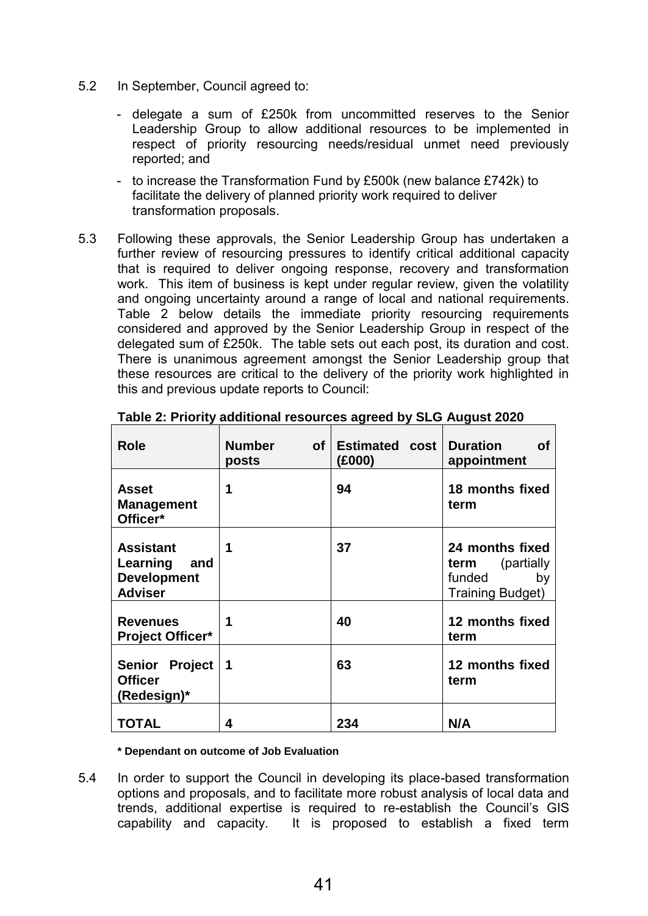- 5.2 In September, Council agreed to:
	- delegate a sum of £250k from uncommitted reserves to the Senior Leadership Group to allow additional resources to be implemented in respect of priority resourcing needs/residual unmet need previously reported; and
	- to increase the Transformation Fund by £500k (new balance £742k) to facilitate the delivery of planned priority work required to deliver transformation proposals.
- 5.3 Following these approvals, the Senior Leadership Group has undertaken a further review of resourcing pressures to identify critical additional capacity that is required to deliver ongoing response, recovery and transformation work. This item of business is kept under regular review, given the volatility and ongoing uncertainty around a range of local and national requirements. Table 2 below details the immediate priority resourcing requirements considered and approved by the Senior Leadership Group in respect of the delegated sum of £250k. The table sets out each post, its duration and cost. There is unanimous agreement amongst the Senior Leadership group that these resources are critical to the delivery of the priority work highlighted in this and previous update reports to Council:

| <b>Role</b>                                                                 | <b>Number</b><br>of l<br>posts | Estimated cost<br>(£000) | <b>Duration</b><br><b>of</b><br>appointment                                          |
|-----------------------------------------------------------------------------|--------------------------------|--------------------------|--------------------------------------------------------------------------------------|
| Asset<br><b>Management</b><br>Officer*                                      | 1                              | 94                       | 18 months fixed<br>term                                                              |
| <b>Assistant</b><br>Learning<br>and<br><b>Development</b><br><b>Adviser</b> | 1                              | 37                       | 24 months fixed<br><b>term</b> (partially<br>funded<br>by<br><b>Training Budget)</b> |
| <b>Revenues</b><br><b>Project Officer*</b>                                  | 1                              | 40                       | 12 months fixed<br>term                                                              |
| Senior Project<br><b>Officer</b><br>(Redesign)*                             | 1                              | 63                       | 12 months fixed<br>term                                                              |
| <b>TOTAL</b>                                                                | 4                              | 234                      | N/A                                                                                  |

**Table 2: Priority additional resources agreed by SLG August 2020** 

**\* Dependant on outcome of Job Evaluation** 

5.4 In order to support the Council in developing its place-based transformation options and proposals, and to facilitate more robust analysis of local data and trends, additional expertise is required to re-establish the Council's GIS capability and capacity. It is proposed to establish a fixed term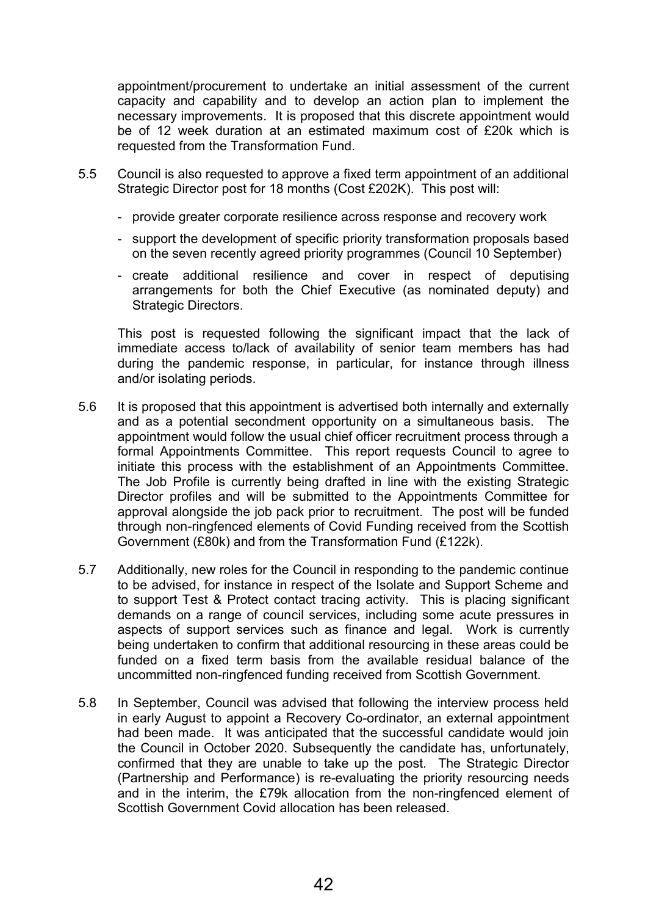appointment/procurement to undertake an initial assessment of the current capacity and capability and to develop an action plan to implement the necessary improvements. It is proposed that this discrete appointment would be of 12 week duration at an estimated maximum cost of £20k which is requested from the Transformation Fund.

- 5.5 Council is also requested to approve a fixed term appointment of an additional Strategic Director post for 18 months (Cost £202K). This post will:
	- provide greater corporate resilience across response and recovery work
	- support the development of specific priority transformation proposals based on the seven recently agreed priority programmes (Council 10 September)
	- create additional resilience and cover in respect of deputising arrangements for both the Chief Executive (as nominated deputy) and Strategic Directors.

This post is requested following the significant impact that the lack of immediate access to/lack of availability of senior team members has had during the pandemic response, in particular, for instance through illness and/or isolating periods.

- 5.6 It is proposed that this appointment is advertised both internally and externally and as a potential secondment opportunity on a simultaneous basis. The appointment would follow the usual chief officer recruitment process through a formal Appointments Committee. This report requests Council to agree to initiate this process with the establishment of an Appointments Committee. The Job Profile is currently being drafted in line with the existing Strategic Director profiles and will be submitted to the Appointments Committee for approval alongside the job pack prior to recruitment. The post will be funded through non-ringfenced elements of Covid Funding received from the Scottish Government (£80k) and from the Transformation Fund (£122k).
- 5.7 Additionally, new roles for the Council in responding to the pandemic continue to be advised, for instance in respect of the Isolate and Support Scheme and to support Test & Protect contact tracing activity. This is placing significant demands on a range of council services, including some acute pressures in aspects of support services such as finance and legal. Work is currently being undertaken to confirm that additional resourcing in these areas could be funded on a fixed term basis from the available residual balance of the uncommitted non-ringfenced funding received from Scottish Government.
- 5.8 In September, Council was advised that following the interview process held in early August to appoint a Recovery Co-ordinator, an external appointment had been made. It was anticipated that the successful candidate would join the Council in October 2020. Subsequently the candidate has, unfortunately, confirmed that they are unable to take up the post. The Strategic Director (Partnership and Performance) is re-evaluating the priority resourcing needs and in the interim, the £79k allocation from the non-ringfenced element of Scottish Government Covid allocation has been released.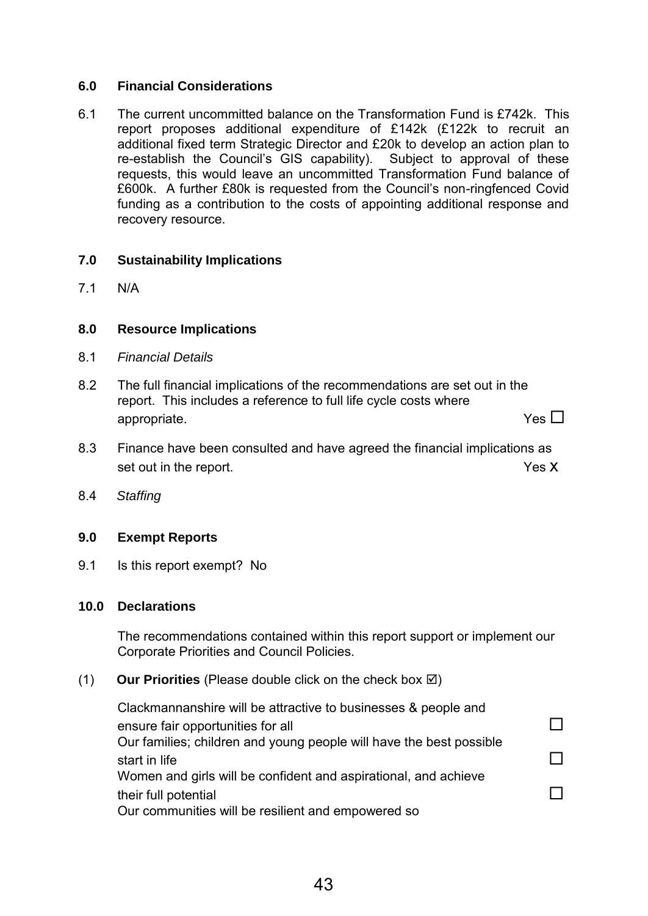#### **6.0 Financial Considerations**

6.1 The current uncommitted balance on the Transformation Fund is £742k. This report proposes additional expenditure of £142k (£122k to recruit an additional fixed term Strategic Director and £20k to develop an action plan to re-establish the Council's GIS capability). Subject to approval of these requests, this would leave an uncommitted Transformation Fund balance of £600k. A further £80k is requested from the Council's non-ringfenced Covid funding as a contribution to the costs of appointing additional response and recovery resource.

#### **7.0 Sustainability Implications**

7.1 N/A

#### **8.0 Resource Implications**

- 8.1 *Financial Details*
- 8.2 The full financial implications of the recommendations are set out in the report. This includes a reference to full life cycle costs where appropriate.  $Y$ es  $\square$
- 8.3 Finance have been consulted and have agreed the financial implications as set out in the report. The report of the set of the set of the set of the set of the set of the set of the set of the set of the set of the set of the set of the set of the set of the set of the set of the set of the set o
- 8.4 *Staffing*

#### **9.0 Exempt Reports**

9.1 Is this report exempt? No

#### **10.0 Declarations**

The recommendations contained within this report support or implement our Corporate Priorities and Council Policies.

 $(1)$  **Our Priorities** (Please double click on the check box  $\boxtimes$ )

Clackmannanshire will be attractive to businesses & people and ensure fair opportunities for all  $\square$ Our families; children and young people will have the best possible start in life  $\Box$ Women and girls will be confident and aspirational, and achieve their full potential and the set of the set of the set of the set of the set of the set of the set of the set of the set of the set of the set of the set of the set of the set of the set of the set of the set of the set of Our communities will be resilient and empowered so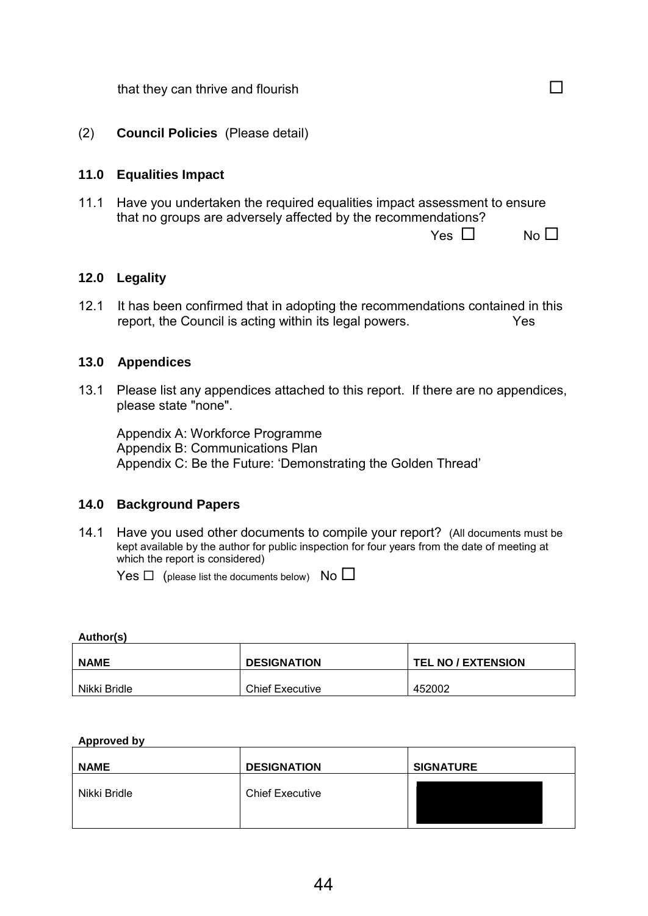| that they can thrive and flourish |  |  |
|-----------------------------------|--|--|
|-----------------------------------|--|--|

#### (2) **Council Policies** (Please detail)

#### **11.0 Equalities Impact**

11.1 Have you undertaken the required equalities impact assessment to ensure that no groups are adversely affected by the recommendations?

Yes No

#### **12.0 Legality**

12.1 It has been confirmed that in adopting the recommendations contained in this report, the Council is acting within its legal powers. Yes

#### **13.0 Appendices**

13.1 Please list any appendices attached to this report. If there are no appendices, please state "none".

 Appendix A: Workforce Programme Appendix B: Communications Plan Appendix C: Be the Future: 'Demonstrating the Golden Thread'

#### **14.0 Background Papers**

14.1 Have you used other documents to compile your report? (All documents must be kept available by the author for public inspection for four years from the date of meeting at which the report is considered)

Yes  $\Box$  (please list the documents below) No  $\Box$ 

**Author(s)** 

| <b>NAME</b>  | <b>DESIGNATION</b>     | <b>TEL NO / EXTENSION</b> |
|--------------|------------------------|---------------------------|
| Nikki Bridle | <b>Chief Executive</b> | 452002                    |

#### **Approved by**

| <b>NAME</b>  | <b>DESIGNATION</b>     | <b>SIGNATURE</b> |
|--------------|------------------------|------------------|
| Nikki Bridle | <b>Chief Executive</b> |                  |
|              |                        |                  |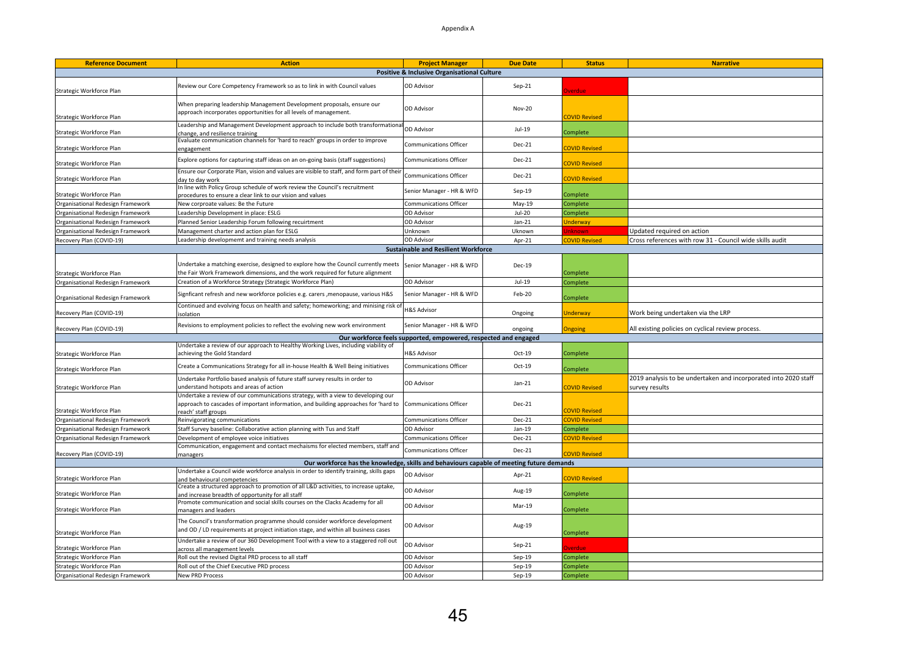#### Appendix A

| <b>Reference Document</b>         | <b>Action</b>                                                                                                                                                                                  | <b>Project Manager</b>                                          | <b>Due Date</b> | <b>Status</b>        | <b>Narrative</b>                                                                  |
|-----------------------------------|------------------------------------------------------------------------------------------------------------------------------------------------------------------------------------------------|-----------------------------------------------------------------|-----------------|----------------------|-----------------------------------------------------------------------------------|
|                                   |                                                                                                                                                                                                | Positive & Inclusive Organisational Culture                     |                 |                      |                                                                                   |
| Strategic Workforce Plan          | Review our Core Competency Framework so as to link in with Council values                                                                                                                      | OD Advisor                                                      | Sep-21          | verdue               |                                                                                   |
| Strategic Workforce Plan          | When preparing leadership Management Development proposals, ensure our<br>approach incorporates opportunities for all levels of management.                                                    | OD Advisor                                                      | Nov-20          | <b>COVID Revised</b> |                                                                                   |
| Strategic Workforce Plan          | Leadership and Management Development approach to include both transformational<br>change, and resilience training                                                                             | <b>OD Advisor</b>                                               | Jul-19          | Complete             |                                                                                   |
| Strategic Workforce Plan          | Evaluate communication channels for 'hard to reach' groups in order to improve<br>engagement                                                                                                   | Communications Officer                                          | Dec-21          | <b>COVID Revised</b> |                                                                                   |
| Strategic Workforce Plan          | Explore options for capturing staff ideas on an on-going basis (staff suggestions)                                                                                                             | <b>Communications Officer</b>                                   | Dec-21          | <b>COVID Revised</b> |                                                                                   |
| Strategic Workforce Plan          | Ensure our Corporate Plan, vision and values are visible to staff, and form part of their<br>day to day work                                                                                   | <b>Communications Officer</b>                                   | Dec-21          | <b>OVID Revised</b>  |                                                                                   |
| Strategic Workforce Plan          | In line with Policy Group schedule of work review the Council's recruitment<br>procedures to ensure a clear link to our vision and values                                                      | Senior Manager - HR & WFD                                       | $Sep-19$        | Complete             |                                                                                   |
| Organisational Redesign Framework | New corproate values: Be the Future                                                                                                                                                            | <b>Communications Officer</b>                                   | $May-19$        | Complete             |                                                                                   |
| Organisational Redesign Framework | Leadership Development in place: ESLG                                                                                                                                                          | <b>OD Advisor</b>                                               | $Jul-20$        | Complete             |                                                                                   |
| Organisational Redesign Framework | Planned Senior Leadership Forum following recuirtment                                                                                                                                          | OD Advisor                                                      | $Jan-21$        | <b>Jnderway</b>      |                                                                                   |
| Organisational Redesign Framework | Management charter and action plan for ESLG                                                                                                                                                    | Unknown                                                         | Uknown          | <b>Inknowr</b>       | Updated required on action                                                        |
| Recovery Plan (COVID-19)          | Leadership developmemt and training needs analysis                                                                                                                                             | <b>OD Advisor</b>                                               | Apr-21          | <b>COVID Revised</b> | Cross references with row 31 - Council wide skills audit                          |
|                                   |                                                                                                                                                                                                | <b>Sustainable and Resilient Workforce</b>                      |                 |                      |                                                                                   |
| Strategic Workforce Plan          | Undertake a matching exercise, designed to explore how the Council currently meets<br>the Fair Work Framework dimensions, and the work required for future alignment                           | Senior Manager - HR & WFD                                       | Dec-19          | Complete             |                                                                                   |
| Organisational Redesign Framework | Creation of a Workforce Strategy (Strategic Workforce Plan)                                                                                                                                    | OD Advisor                                                      | Jul-19          | Complete             |                                                                                   |
| Organisational Redesign Framework | Signficant refresh and new workforce policies e.g. carers , menopause, various H&S                                                                                                             | Senior Manager - HR & WFD                                       | Feb-20          | Complete             |                                                                                   |
| Recovery Plan (COVID-19)          | Continued and evolving focus on health and safety; homeworking; and minising risk of<br>solation                                                                                               | <b>H&amp;S Advisor</b>                                          | Ongoing         | <b>Jnderway</b>      | Work being undertaken via the LRP                                                 |
| Recovery Plan (COVID-19)          | Revisions to employment policies to reflect the evolving new work environment                                                                                                                  | Senior Manager - HR & WFD                                       | ongoing         | Ingoing              | All existing policies on cyclical review process.                                 |
|                                   |                                                                                                                                                                                                | Our workforce feels supported, empowered, respected and engaged |                 |                      |                                                                                   |
|                                   | Undertake a review of our approach to Healthy Working Lives, including viability of                                                                                                            |                                                                 |                 |                      |                                                                                   |
| Strategic Workforce Plan          | achieving the Gold Standard                                                                                                                                                                    | H&S Advisor                                                     | Oct-19          | Complete             |                                                                                   |
| Strategic Workforce Plan          | Create a Communications Strategy for all in-house Health & Well Being initiatives                                                                                                              | <b>Communications Officer</b>                                   | Oct-19          | Complete             |                                                                                   |
| Strategic Workforce Plan          | Undertake Portfolio based analysis of future staff survey results in order to<br>understand hotspots and areas of action                                                                       | OD Advisor                                                      | $Jan-21$        | <b>COVID Revised</b> | 2019 analysis to be undertaken and incorporated into 2020 staff<br>survey results |
| Strategic Workforce Plan          | Undertake a review of our communications strategy, with a view to developing our<br>approach to cascades of important information, and building approaches for 'hard to<br>reach' staff groups | <b>Communications Officer</b>                                   | Dec-21          | <b>COVID Revised</b> |                                                                                   |
| Organisational Redesign Framework | Reinvigorating communications                                                                                                                                                                  | Communications Officer                                          | Dec-21          | <b>COVID Revised</b> |                                                                                   |
| Organisational Redesign Framework | Staff Survey baseline: Collaborative action planning with Tus and Staff                                                                                                                        | OD Advisor                                                      | $Jan-19$        | Complete             |                                                                                   |
| Organisational Redesign Framework | Development of employee voice initiatives                                                                                                                                                      | Communications Officer                                          | Dec-21          | <b>COVID Revised</b> |                                                                                   |
| Recovery Plan (COVID-19)          | Communication, engagement and contact mechaisms for elected members, staff and<br>managers                                                                                                     | Communications Officer                                          | Dec-21          | <b>COVID Revised</b> |                                                                                   |
|                                   | Our workforce has the knowledge, skills and behaviours capable of meeting future demands                                                                                                       |                                                                 |                 |                      |                                                                                   |
|                                   | Undertake a Council wide workforce analysis in order to identify training, skills gaps                                                                                                         |                                                                 |                 |                      |                                                                                   |
| Strategic Workforce Plan          | Ind behavioural competencies<br>Create a structured approach to promotion of all L&D activities, to increase uptake                                                                            | <b>OD Advisor</b>                                               | Apr-21          | <b>OVID Revised</b>  |                                                                                   |
| Strategic Workforce Plan          | and increase breadth of opportunity for all staff<br>Promote communication and social skills courses on the Clacks Academy for all                                                             | OD Advisor                                                      | Aug-19          | Complete             |                                                                                   |
| Strategic Workforce Plan          | managers and leaders                                                                                                                                                                           | OD Advisor                                                      | Mar-19          | Complete             |                                                                                   |
| Strategic Workforce Plan          | The Council's transformation programme should consider workforce development<br>and OD / LD requirements at project initiation stage, and within all business cases                            | OD Advisor                                                      | Aug-19          | Complete             |                                                                                   |
| Strategic Workforce Plan          | Undertake a review of our 360 Development Tool with a view to a staggered roll out<br>cross all management levels                                                                              | OD Advisor                                                      | Sep-21          | verdue               |                                                                                   |
| Strategic Workforce Plan          | Roll out the revised Digital PRD process to all staff                                                                                                                                          | OD Advisor                                                      | $Sep-19$        | Complete             |                                                                                   |
| Strategic Workforce Plan          | Roll out of the Chief Executive PRD process                                                                                                                                                    | OD Advisor                                                      | Sep-19          | Complete             |                                                                                   |
| Organisational Redesign Framework | <b>New PRD Process</b>                                                                                                                                                                         | <b>OD Advisor</b>                                               | $Sep-19$        | Complete             |                                                                                   |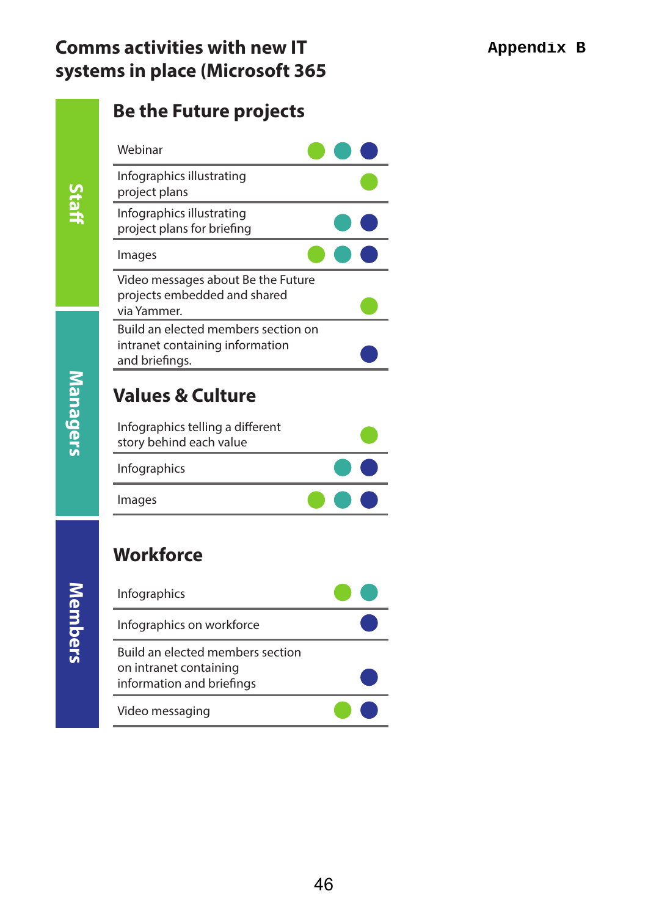### **Comms activities with new IT systems in place (Microsoft 365**

**Staff**

### **Be the Future projects**



## **Values & Culture** Infographics telling a different

| Images                  | $\bullet$ $\bullet$ $\bullet$ |
|-------------------------|-------------------------------|
| Infographics            | $\bullet$ $\bullet$           |
| story behind each value |                               |

## **Workforce**

| Infographics                                                                            |  |
|-----------------------------------------------------------------------------------------|--|
| Infographics on workforce                                                               |  |
| Build an elected members section<br>on intranet containing<br>information and briefings |  |
| Video messaging                                                                         |  |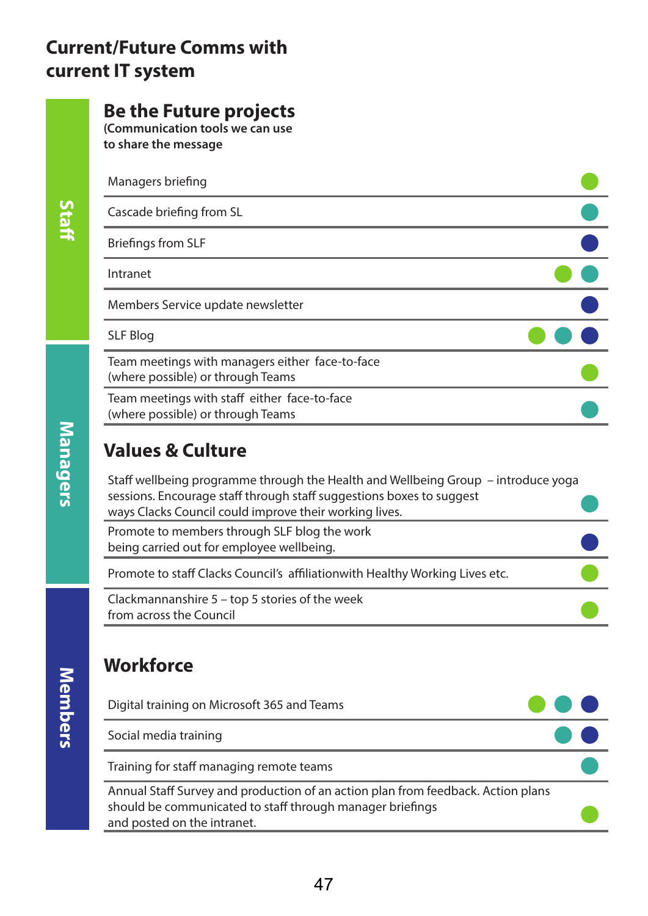### **Current/Future Comms with current IT system**

### **Be the Future projects**

**(Communication tools we can use to share the message**

| Managers briefing                                                                    |  |
|--------------------------------------------------------------------------------------|--|
| Cascade briefing from SL                                                             |  |
| <b>Briefings from SLF</b>                                                            |  |
| Intranet                                                                             |  |
| Members Service update newsletter                                                    |  |
| <b>SLF Blog</b>                                                                      |  |
| Team meetings with managers either face-to-face<br>(where possible) or through Teams |  |
| Team meetings with staff either face-to-face<br>(where possible) or through Teams    |  |
|                                                                                      |  |

### **Values & Culture**

Staff wellbeing programme through the Health and Wellbeing Group – introduce yoga sessions. Encourage staff through staff suggestions boxes to suggest ways Clacks Council could improve their working lives.  $\begin{array}{c|c|c} \hline \bullet & \bullet \\ \hline \bullet & \bullet \end{array}$ 

Promote to members through SLF blog the work being carried out for employee wellbeing.

Promote to staff Clacks Council's affiliationwith Healthy Working Lives etc.

Clackmannanshire 5 – top 5 stories of the week from across the Council

## **Workforce**

| Digital training on Microsoft 365 and Teams                                                                                                                                  |  |
|------------------------------------------------------------------------------------------------------------------------------------------------------------------------------|--|
| Social media training                                                                                                                                                        |  |
| Training for staff managing remote teams                                                                                                                                     |  |
| Annual Staff Survey and production of an action plan from feedback. Action plans<br>should be communicated to staff through manager briefings<br>and posted on the intranet. |  |